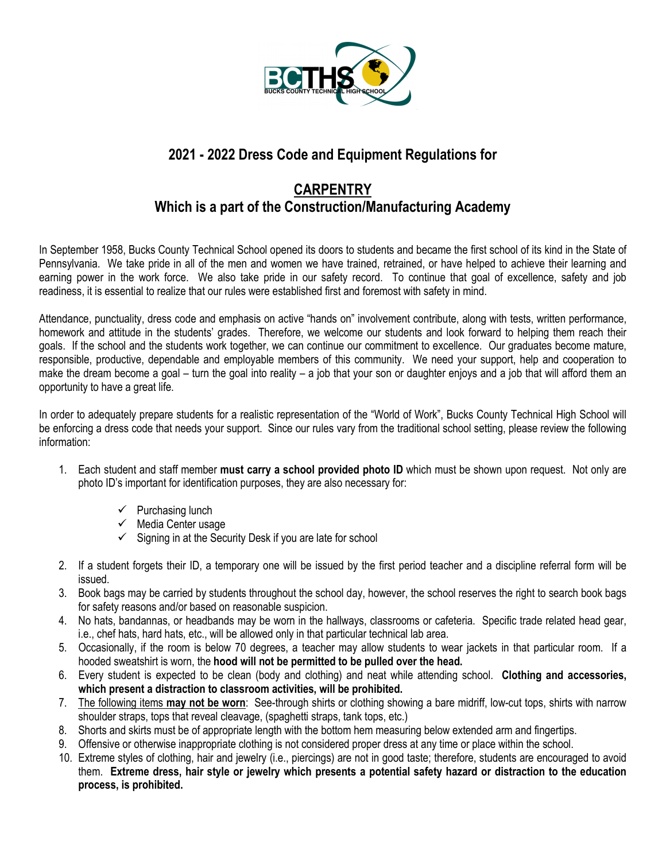

# **2021 - 2022 Dress Code and Equipment Regulations for**

# **CARPENTRY Which is a part of the Construction/Manufacturing Academy**

In September 1958, Bucks County Technical School opened its doors to students and became the first school of its kind in the State of Pennsylvania. We take pride in all of the men and women we have trained, retrained, or have helped to achieve their learning and earning power in the work force. We also take pride in our safety record. To continue that goal of excellence, safety and job readiness, it is essential to realize that our rules were established first and foremost with safety in mind.

Attendance, punctuality, dress code and emphasis on active "hands on" involvement contribute, along with tests, written performance, homework and attitude in the students' grades. Therefore, we welcome our students and look forward to helping them reach their goals. If the school and the students work together, we can continue our commitment to excellence. Our graduates become mature, responsible, productive, dependable and employable members of this community. We need your support, help and cooperation to make the dream become a goal – turn the goal into reality – a job that your son or daughter enjoys and a job that will afford them an opportunity to have a great life.

In order to adequately prepare students for a realistic representation of the "World of Work", Bucks County Technical High School will be enforcing a dress code that needs your support. Since our rules vary from the traditional school setting, please review the following information:

- 1. Each student and staff member **must carry a school provided photo ID** which must be shown upon request. Not only are photo ID's important for identification purposes, they are also necessary for:
	- $\checkmark$  Purchasing lunch
	- $\checkmark$  Media Center usage
	- $\checkmark$  Signing in at the Security Desk if you are late for school
- 2. If a student forgets their ID, a temporary one will be issued by the first period teacher and a discipline referral form will be issued.
- 3. Book bags may be carried by students throughout the school day, however, the school reserves the right to search book bags for safety reasons and/or based on reasonable suspicion.
- 4. No hats, bandannas, or headbands may be worn in the hallways, classrooms or cafeteria. Specific trade related head gear, i.e., chef hats, hard hats, etc., will be allowed only in that particular technical lab area.
- 5. Occasionally, if the room is below 70 degrees, a teacher may allow students to wear jackets in that particular room. If a hooded sweatshirt is worn, the **hood will not be permitted to be pulled over the head.**
- 6. Every student is expected to be clean (body and clothing) and neat while attending school. **Clothing and accessories, which present a distraction to classroom activities, will be prohibited.**
- 7. The following items **may not be worn**: See-through shirts or clothing showing a bare midriff, low-cut tops, shirts with narrow shoulder straps, tops that reveal cleavage, (spaghetti straps, tank tops, etc.)
- 8. Shorts and skirts must be of appropriate length with the bottom hem measuring below extended arm and fingertips.
- 9. Offensive or otherwise inappropriate clothing is not considered proper dress at any time or place within the school.
- 10. Extreme styles of clothing, hair and jewelry (i.e., piercings) are not in good taste; therefore, students are encouraged to avoid them. **Extreme dress, hair style or jewelry which presents a potential safety hazard or distraction to the education process, is prohibited.**